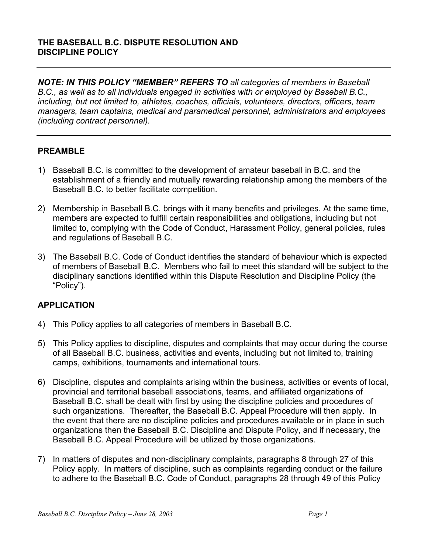*NOTE: IN THIS POLICY "MEMBER" REFERS TO all categories of members in Baseball B.C., as well as to all individuals engaged in activities with or employed by Baseball B.C., including, but not limited to, athletes, coaches, officials, volunteers, directors, officers, team managers, team captains, medical and paramedical personnel, administrators and employees (including contract personnel).* 

# **PREAMBLE**

- 1) Baseball B.C. is committed to the development of amateur baseball in B.C. and the establishment of a friendly and mutually rewarding relationship among the members of the Baseball B.C. to better facilitate competition.
- 2) Membership in Baseball B.C. brings with it many benefits and privileges. At the same time, members are expected to fulfill certain responsibilities and obligations, including but not limited to, complying with the Code of Conduct, Harassment Policy, general policies, rules and regulations of Baseball B.C.
- 3) The Baseball B.C. Code of Conduct identifies the standard of behaviour which is expected of members of Baseball B.C. Members who fail to meet this standard will be subject to the disciplinary sanctions identified within this Dispute Resolution and Discipline Policy (the "Policy").

# **APPLICATION**

- 4) This Policy applies to all categories of members in Baseball B.C.
- 5) This Policy applies to discipline, disputes and complaints that may occur during the course of all Baseball B.C. business, activities and events, including but not limited to, training camps, exhibitions, tournaments and international tours.
- 6) Discipline, disputes and complaints arising within the business, activities or events of local, provincial and territorial baseball associations, teams, and affiliated organizations of Baseball B.C. shall be dealt with first by using the discipline policies and procedures of such organizations. Thereafter, the Baseball B.C. Appeal Procedure will then apply. In the event that there are no discipline policies and procedures available or in place in such organizations then the Baseball B.C. Discipline and Dispute Policy, and if necessary, the Baseball B.C. Appeal Procedure will be utilized by those organizations.
- 7) In matters of disputes and non-disciplinary complaints, paragraphs 8 through 27 of this Policy apply. In matters of discipline, such as complaints regarding conduct or the failure to adhere to the Baseball B.C. Code of Conduct, paragraphs 28 through 49 of this Policy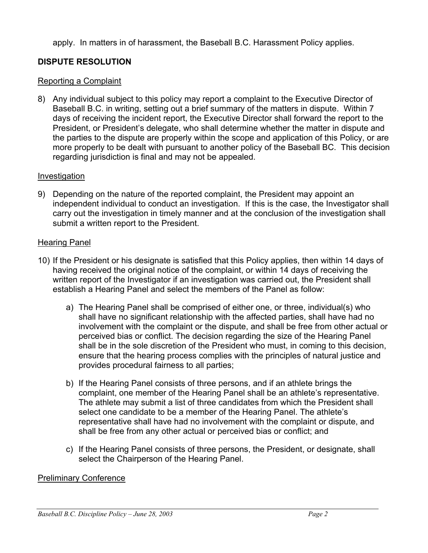apply. In matters in of harassment, the Baseball B.C. Harassment Policy applies.

# **DISPUTE RESOLUTION**

# Reporting a Complaint

8) Any individual subject to this policy may report a complaint to the Executive Director of Baseball B.C. in writing, setting out a brief summary of the matters in dispute. Within 7 days of receiving the incident report, the Executive Director shall forward the report to the President, or President's delegate, who shall determine whether the matter in dispute and the parties to the dispute are properly within the scope and application of this Policy, or are more properly to be dealt with pursuant to another policy of the Baseball BC. This decision regarding jurisdiction is final and may not be appealed.

# **Investigation**

9) Depending on the nature of the reported complaint, the President may appoint an independent individual to conduct an investigation. If this is the case, the Investigator shall carry out the investigation in timely manner and at the conclusion of the investigation shall submit a written report to the President.

# Hearing Panel

- 10) If the President or his designate is satisfied that this Policy applies, then within 14 days of having received the original notice of the complaint, or within 14 days of receiving the written report of the Investigator if an investigation was carried out, the President shall establish a Hearing Panel and select the members of the Panel as follow:
	- a) The Hearing Panel shall be comprised of either one, or three, individual(s) who shall have no significant relationship with the affected parties, shall have had no involvement with the complaint or the dispute, and shall be free from other actual or perceived bias or conflict. The decision regarding the size of the Hearing Panel shall be in the sole discretion of the President who must, in coming to this decision, ensure that the hearing process complies with the principles of natural justice and provides procedural fairness to all parties;
	- b) If the Hearing Panel consists of three persons, and if an athlete brings the complaint, one member of the Hearing Panel shall be an athlete's representative. The athlete may submit a list of three candidates from which the President shall select one candidate to be a member of the Hearing Panel. The athlete's representative shall have had no involvement with the complaint or dispute, and shall be free from any other actual or perceived bias or conflict; and
	- c) If the Hearing Panel consists of three persons, the President, or designate, shall select the Chairperson of the Hearing Panel.

# Preliminary Conference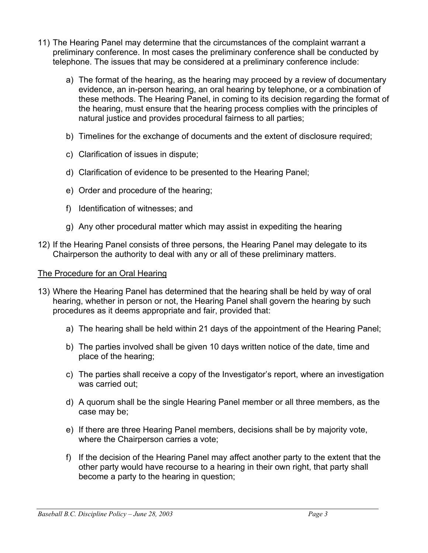- 11) The Hearing Panel may determine that the circumstances of the complaint warrant a preliminary conference. In most cases the preliminary conference shall be conducted by telephone. The issues that may be considered at a preliminary conference include:
	- a) The format of the hearing, as the hearing may proceed by a review of documentary evidence, an in-person hearing, an oral hearing by telephone, or a combination of these methods. The Hearing Panel, in coming to its decision regarding the format of the hearing, must ensure that the hearing process complies with the principles of natural justice and provides procedural fairness to all parties;
	- b) Timelines for the exchange of documents and the extent of disclosure required;
	- c) Clarification of issues in dispute;
	- d) Clarification of evidence to be presented to the Hearing Panel;
	- e) Order and procedure of the hearing;
	- f) Identification of witnesses; and
	- g) Any other procedural matter which may assist in expediting the hearing
- 12) If the Hearing Panel consists of three persons, the Hearing Panel may delegate to its Chairperson the authority to deal with any or all of these preliminary matters.

# The Procedure for an Oral Hearing

- 13) Where the Hearing Panel has determined that the hearing shall be held by way of oral hearing, whether in person or not, the Hearing Panel shall govern the hearing by such procedures as it deems appropriate and fair, provided that:
	- a) The hearing shall be held within 21 days of the appointment of the Hearing Panel;
	- b) The parties involved shall be given 10 days written notice of the date, time and place of the hearing;
	- c) The parties shall receive a copy of the Investigator's report, where an investigation was carried out;
	- d) A quorum shall be the single Hearing Panel member or all three members, as the case may be;
	- e) If there are three Hearing Panel members, decisions shall be by majority vote, where the Chairperson carries a vote;
	- f) If the decision of the Hearing Panel may affect another party to the extent that the other party would have recourse to a hearing in their own right, that party shall become a party to the hearing in question;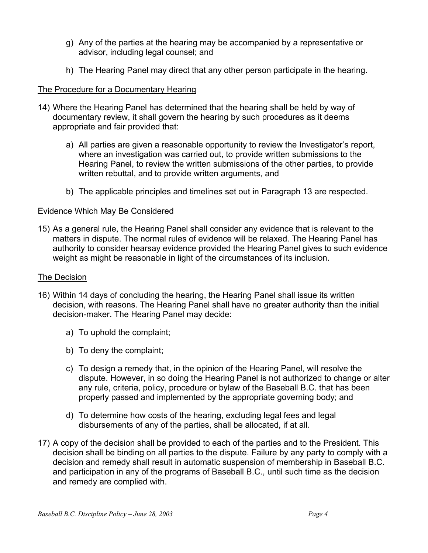- g) Any of the parties at the hearing may be accompanied by a representative or advisor, including legal counsel; and
- h) The Hearing Panel may direct that any other person participate in the hearing.

## The Procedure for a Documentary Hearing

- 14) Where the Hearing Panel has determined that the hearing shall be held by way of documentary review, it shall govern the hearing by such procedures as it deems appropriate and fair provided that:
	- a) All parties are given a reasonable opportunity to review the Investigator's report, where an investigation was carried out, to provide written submissions to the Hearing Panel, to review the written submissions of the other parties, to provide written rebuttal, and to provide written arguments, and
	- b) The applicable principles and timelines set out in Paragraph 13 are respected.

### Evidence Which May Be Considered

15) As a general rule, the Hearing Panel shall consider any evidence that is relevant to the matters in dispute. The normal rules of evidence will be relaxed. The Hearing Panel has authority to consider hearsay evidence provided the Hearing Panel gives to such evidence weight as might be reasonable in light of the circumstances of its inclusion.

#### The Decision

- 16) Within 14 days of concluding the hearing, the Hearing Panel shall issue its written decision, with reasons. The Hearing Panel shall have no greater authority than the initial decision-maker. The Hearing Panel may decide:
	- a) To uphold the complaint;
	- b) To deny the complaint;
	- c) To design a remedy that, in the opinion of the Hearing Panel, will resolve the dispute. However, in so doing the Hearing Panel is not authorized to change or alter any rule, criteria, policy, procedure or bylaw of the Baseball B.C. that has been properly passed and implemented by the appropriate governing body; and
	- d) To determine how costs of the hearing, excluding legal fees and legal disbursements of any of the parties, shall be allocated, if at all.
- 17) A copy of the decision shall be provided to each of the parties and to the President. This decision shall be binding on all parties to the dispute. Failure by any party to comply with a decision and remedy shall result in automatic suspension of membership in Baseball B.C. and participation in any of the programs of Baseball B.C., until such time as the decision and remedy are complied with.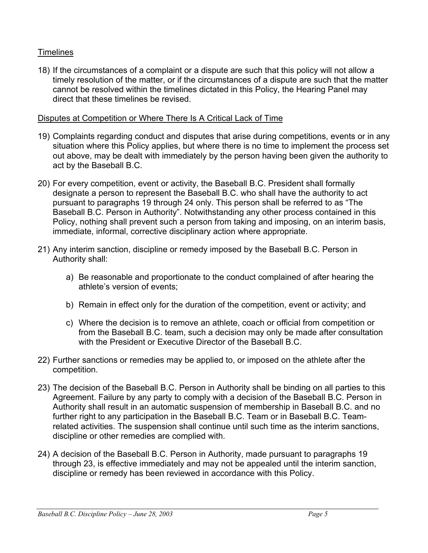# **Timelines**

18) If the circumstances of a complaint or a dispute are such that this policy will not allow a timely resolution of the matter, or if the circumstances of a dispute are such that the matter cannot be resolved within the timelines dictated in this Policy, the Hearing Panel may direct that these timelines be revised.

#### Disputes at Competition or Where There Is A Critical Lack of Time

- 19) Complaints regarding conduct and disputes that arise during competitions, events or in any situation where this Policy applies, but where there is no time to implement the process set out above, may be dealt with immediately by the person having been given the authority to act by the Baseball B.C.
- 20) For every competition, event or activity, the Baseball B.C. President shall formally designate a person to represent the Baseball B.C. who shall have the authority to act pursuant to paragraphs 19 through 24 only. This person shall be referred to as "The Baseball B.C. Person in Authority". Notwithstanding any other process contained in this Policy, nothing shall prevent such a person from taking and imposing, on an interim basis, immediate, informal, corrective disciplinary action where appropriate.
- 21) Any interim sanction, discipline or remedy imposed by the Baseball B.C. Person in Authority shall:
	- a) Be reasonable and proportionate to the conduct complained of after hearing the athlete's version of events;
	- b) Remain in effect only for the duration of the competition, event or activity; and
	- c) Where the decision is to remove an athlete, coach or official from competition or from the Baseball B.C. team, such a decision may only be made after consultation with the President or Executive Director of the Baseball B.C.
- 22) Further sanctions or remedies may be applied to, or imposed on the athlete after the competition.
- 23) The decision of the Baseball B.C. Person in Authority shall be binding on all parties to this Agreement. Failure by any party to comply with a decision of the Baseball B.C. Person in Authority shall result in an automatic suspension of membership in Baseball B.C. and no further right to any participation in the Baseball B.C. Team or in Baseball B.C. Teamrelated activities. The suspension shall continue until such time as the interim sanctions, discipline or other remedies are complied with.
- 24) A decision of the Baseball B.C. Person in Authority, made pursuant to paragraphs 19 through 23, is effective immediately and may not be appealed until the interim sanction, discipline or remedy has been reviewed in accordance with this Policy.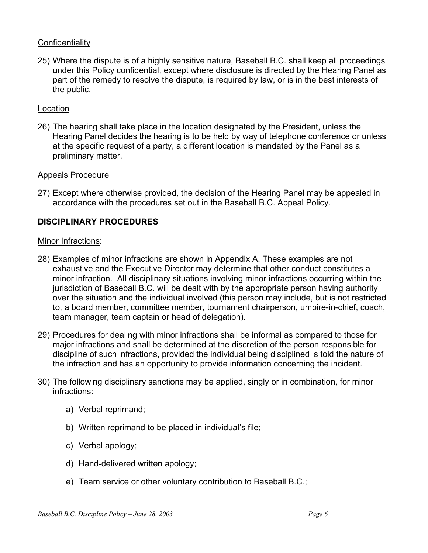## **Confidentiality**

25) Where the dispute is of a highly sensitive nature, Baseball B.C. shall keep all proceedings under this Policy confidential, except where disclosure is directed by the Hearing Panel as part of the remedy to resolve the dispute, is required by law, or is in the best interests of the public.

## Location

26) The hearing shall take place in the location designated by the President, unless the Hearing Panel decides the hearing is to be held by way of telephone conference or unless at the specific request of a party, a different location is mandated by the Panel as a preliminary matter.

### Appeals Procedure

27) Except where otherwise provided, the decision of the Hearing Panel may be appealed in accordance with the procedures set out in the Baseball B.C. Appeal Policy.

### **DISCIPLINARY PROCEDURES**

#### Minor Infractions:

- 28) Examples of minor infractions are shown in Appendix A. These examples are not exhaustive and the Executive Director may determine that other conduct constitutes a minor infraction. All disciplinary situations involving minor infractions occurring within the jurisdiction of Baseball B.C. will be dealt with by the appropriate person having authority over the situation and the individual involved (this person may include, but is not restricted to, a board member, committee member, tournament chairperson, umpire-in-chief, coach, team manager, team captain or head of delegation).
- 29) Procedures for dealing with minor infractions shall be informal as compared to those for major infractions and shall be determined at the discretion of the person responsible for discipline of such infractions, provided the individual being disciplined is told the nature of the infraction and has an opportunity to provide information concerning the incident.
- 30) The following disciplinary sanctions may be applied, singly or in combination, for minor infractions:
	- a) Verbal reprimand;
	- b) Written reprimand to be placed in individual's file;
	- c) Verbal apology;
	- d) Hand-delivered written apology;
	- e) Team service or other voluntary contribution to Baseball B.C.;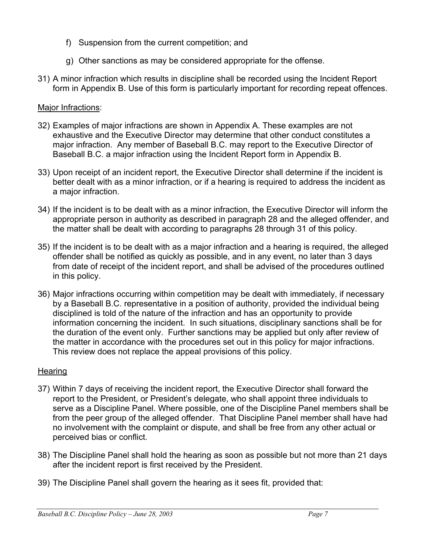- f) Suspension from the current competition; and
- g) Other sanctions as may be considered appropriate for the offense.
- 31) A minor infraction which results in discipline shall be recorded using the Incident Report form in Appendix B. Use of this form is particularly important for recording repeat offences.

# Major Infractions:

- 32) Examples of major infractions are shown in Appendix A. These examples are not exhaustive and the Executive Director may determine that other conduct constitutes a major infraction. Any member of Baseball B.C. may report to the Executive Director of Baseball B.C. a major infraction using the Incident Report form in Appendix B.
- 33) Upon receipt of an incident report, the Executive Director shall determine if the incident is better dealt with as a minor infraction, or if a hearing is required to address the incident as a major infraction.
- 34) If the incident is to be dealt with as a minor infraction, the Executive Director will inform the appropriate person in authority as described in paragraph 28 and the alleged offender, and the matter shall be dealt with according to paragraphs 28 through 31 of this policy.
- 35) If the incident is to be dealt with as a major infraction and a hearing is required, the alleged offender shall be notified as quickly as possible, and in any event, no later than 3 days from date of receipt of the incident report, and shall be advised of the procedures outlined in this policy.
- 36) Major infractions occurring within competition may be dealt with immediately, if necessary by a Baseball B.C. representative in a position of authority, provided the individual being disciplined is told of the nature of the infraction and has an opportunity to provide information concerning the incident. In such situations, disciplinary sanctions shall be for the duration of the event only. Further sanctions may be applied but only after review of the matter in accordance with the procedures set out in this policy for major infractions. This review does not replace the appeal provisions of this policy.

# **Hearing**

- 37) Within 7 days of receiving the incident report, the Executive Director shall forward the report to the President, or President's delegate, who shall appoint three individuals to serve as a Discipline Panel. Where possible, one of the Discipline Panel members shall be from the peer group of the alleged offender. That Discipline Panel member shall have had no involvement with the complaint or dispute, and shall be free from any other actual or perceived bias or conflict.
- 38) The Discipline Panel shall hold the hearing as soon as possible but not more than 21 days after the incident report is first received by the President.
- 39) The Discipline Panel shall govern the hearing as it sees fit, provided that: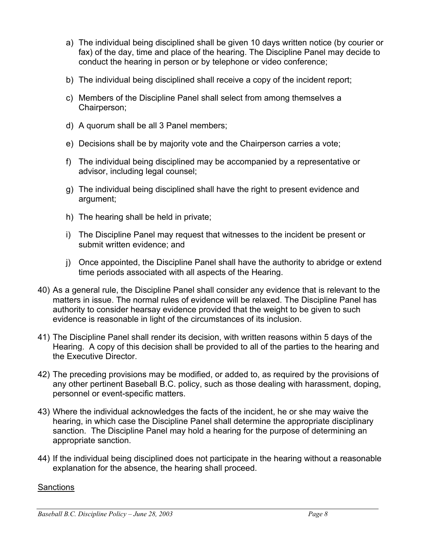- a) The individual being disciplined shall be given 10 days written notice (by courier or fax) of the day, time and place of the hearing. The Discipline Panel may decide to conduct the hearing in person or by telephone or video conference;
- b) The individual being disciplined shall receive a copy of the incident report;
- c) Members of the Discipline Panel shall select from among themselves a Chairperson;
- d) A quorum shall be all 3 Panel members;
- e) Decisions shall be by majority vote and the Chairperson carries a vote;
- f) The individual being disciplined may be accompanied by a representative or advisor, including legal counsel;
- g) The individual being disciplined shall have the right to present evidence and argument;
- h) The hearing shall be held in private;
- i) The Discipline Panel may request that witnesses to the incident be present or submit written evidence; and
- j) Once appointed, the Discipline Panel shall have the authority to abridge or extend time periods associated with all aspects of the Hearing.
- 40) As a general rule, the Discipline Panel shall consider any evidence that is relevant to the matters in issue. The normal rules of evidence will be relaxed. The Discipline Panel has authority to consider hearsay evidence provided that the weight to be given to such evidence is reasonable in light of the circumstances of its inclusion.
- 41) The Discipline Panel shall render its decision, with written reasons within 5 days of the Hearing. A copy of this decision shall be provided to all of the parties to the hearing and the Executive Director.
- 42) The preceding provisions may be modified, or added to, as required by the provisions of any other pertinent Baseball B.C. policy, such as those dealing with harassment, doping, personnel or event-specific matters.
- 43) Where the individual acknowledges the facts of the incident, he or she may waive the hearing, in which case the Discipline Panel shall determine the appropriate disciplinary sanction. The Discipline Panel may hold a hearing for the purpose of determining an appropriate sanction.
- 44) If the individual being disciplined does not participate in the hearing without a reasonable explanation for the absence, the hearing shall proceed.

# **Sanctions**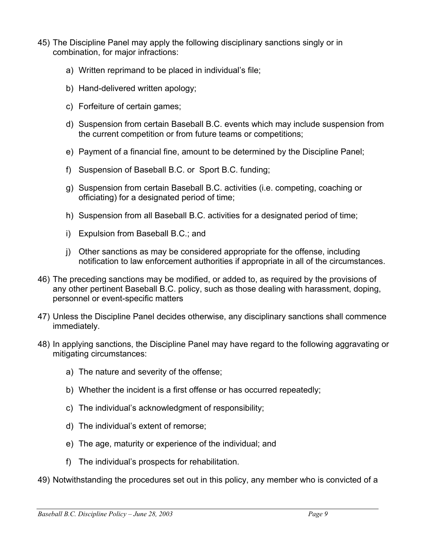- 45) The Discipline Panel may apply the following disciplinary sanctions singly or in combination, for major infractions:
	- a) Written reprimand to be placed in individual's file;
	- b) Hand-delivered written apology;
	- c) Forfeiture of certain games;
	- d) Suspension from certain Baseball B.C. events which may include suspension from the current competition or from future teams or competitions;
	- e) Payment of a financial fine, amount to be determined by the Discipline Panel;
	- f) Suspension of Baseball B.C. or Sport B.C. funding;
	- g) Suspension from certain Baseball B.C. activities (i.e. competing, coaching or officiating) for a designated period of time;
	- h) Suspension from all Baseball B.C. activities for a designated period of time;
	- i) Expulsion from Baseball B.C.; and
	- j) Other sanctions as may be considered appropriate for the offense, including notification to law enforcement authorities if appropriate in all of the circumstances.
- 46) The preceding sanctions may be modified, or added to, as required by the provisions of any other pertinent Baseball B.C. policy, such as those dealing with harassment, doping, personnel or event-specific matters
- 47) Unless the Discipline Panel decides otherwise, any disciplinary sanctions shall commence immediately.
- 48) In applying sanctions, the Discipline Panel may have regard to the following aggravating or mitigating circumstances:
	- a) The nature and severity of the offense;
	- b) Whether the incident is a first offense or has occurred repeatedly;
	- c) The individual's acknowledgment of responsibility;
	- d) The individual's extent of remorse;
	- e) The age, maturity or experience of the individual; and
	- f) The individual's prospects for rehabilitation.
- 49) Notwithstanding the procedures set out in this policy, any member who is convicted of a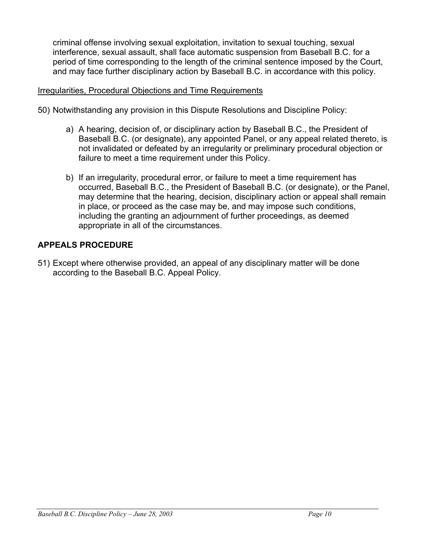criminal offense involving sexual exploitation, invitation to sexual touching, sexual interference, sexual assault, shall face automatic suspension from Baseball B.C. for a period of time corresponding to the length of the criminal sentence imposed by the Court, and may face further disciplinary action by Baseball B.C. in accordance with this policy.

#### Irregularities, Procedural Objections and Time Requirements

- 50) Notwithstanding any provision in this Dispute Resolutions and Discipline Policy:
	- a) A hearing, decision of, or disciplinary action by Baseball B.C., the President of Baseball B.C. (or designate), any appointed Panel, or any appeal related thereto, is not invalidated or defeated by an irregularity or preliminary procedural objection or failure to meet a time requirement under this Policy.
	- b) If an irregularity, procedural error, or failure to meet a time requirement has occurred, Baseball B.C., the President of Baseball B.C. (or designate), or the Panel, may determine that the hearing, decision, disciplinary action or appeal shall remain in place, or proceed as the case may be, and may impose such conditions, including the granting an adjournment of further proceedings, as deemed appropriate in all of the circumstances.

### **APPEALS PROCEDURE**

51) Except where otherwise provided, an appeal of any disciplinary matter will be done according to the Baseball B.C. Appeal Policy.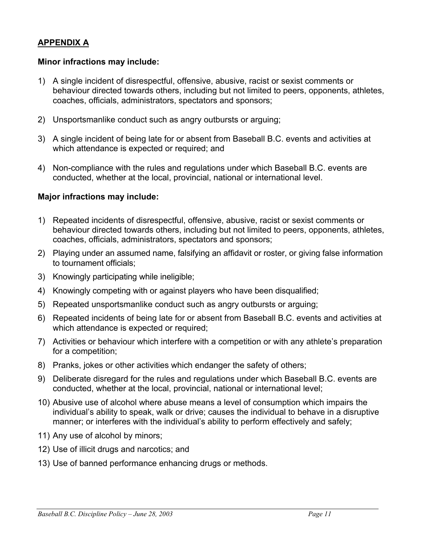### **APPENDIX A**

#### **Minor infractions may include:**

- 1) A single incident of disrespectful, offensive, abusive, racist or sexist comments or behaviour directed towards others, including but not limited to peers, opponents, athletes, coaches, officials, administrators, spectators and sponsors;
- 2) Unsportsmanlike conduct such as angry outbursts or arguing;
- 3) A single incident of being late for or absent from Baseball B.C. events and activities at which attendance is expected or required; and
- 4) Non-compliance with the rules and regulations under which Baseball B.C. events are conducted, whether at the local, provincial, national or international level.

#### **Major infractions may include:**

- 1) Repeated incidents of disrespectful, offensive, abusive, racist or sexist comments or behaviour directed towards others, including but not limited to peers, opponents, athletes, coaches, officials, administrators, spectators and sponsors;
- 2) Playing under an assumed name, falsifying an affidavit or roster, or giving false information to tournament officials;
- 3) Knowingly participating while ineligible;
- 4) Knowingly competing with or against players who have been disqualified;
- 5) Repeated unsportsmanlike conduct such as angry outbursts or arguing;
- 6) Repeated incidents of being late for or absent from Baseball B.C. events and activities at which attendance is expected or required;
- 7) Activities or behaviour which interfere with a competition or with any athlete's preparation for a competition;
- 8) Pranks, jokes or other activities which endanger the safety of others;
- 9) Deliberate disregard for the rules and regulations under which Baseball B.C. events are conducted, whether at the local, provincial, national or international level;
- 10) Abusive use of alcohol where abuse means a level of consumption which impairs the individual's ability to speak, walk or drive; causes the individual to behave in a disruptive manner; or interferes with the individual's ability to perform effectively and safely;
- 11) Any use of alcohol by minors;
- 12) Use of illicit drugs and narcotics; and
- 13) Use of banned performance enhancing drugs or methods.